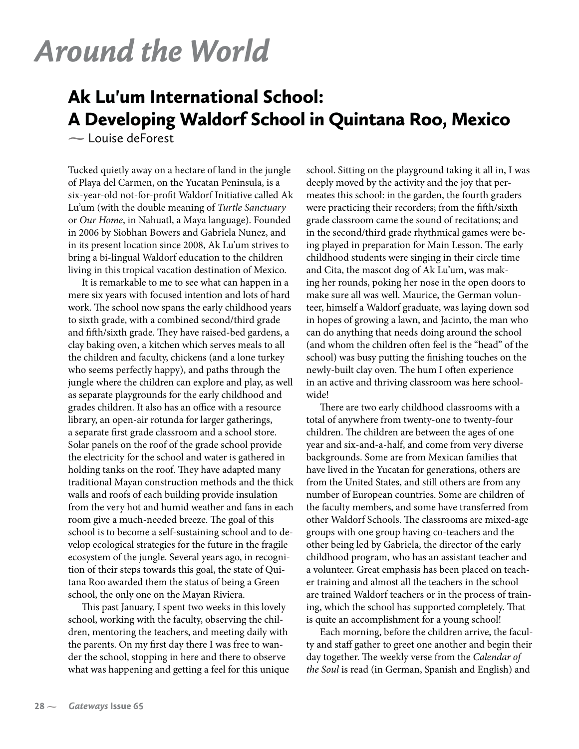## *Around the World*

## Ak Lu'um International School: A Developing Waldorf School in Quintana Roo, Mexico

**-** Louise deForest

Tucked quietly away on a hectare of land in the jungle of Playa del Carmen, on the Yucatan Peninsula, is a six-year-old not-for-profit Waldorf Initiative called Ak Lu'um (with the double meaning of *Turtle Sanctuary* or *Our Home*, in Nahuatl, a Maya language). Founded in 2006 by Siobhan Bowers and Gabriela Nunez, and in its present location since 2008, Ak Lu'um strives to bring a bi-lingual Waldorf education to the children living in this tropical vacation destination of Mexico.

It is remarkable to me to see what can happen in a mere six years with focused intention and lots of hard work. The school now spans the early childhood years to sixth grade, with a combined second/third grade and fifth/sixth grade. They have raised-bed gardens, a clay baking oven, a kitchen which serves meals to all the children and faculty, chickens (and a lone turkey who seems perfectly happy), and paths through the jungle where the children can explore and play, as well as separate playgrounds for the early childhood and grades children. It also has an office with a resource library, an open-air rotunda for larger gatherings, a separate first grade classroom and a school store. Solar panels on the roof of the grade school provide the electricity for the school and water is gathered in holding tanks on the roof. They have adapted many traditional Mayan construction methods and the thick walls and roofs of each building provide insulation from the very hot and humid weather and fans in each room give a much-needed breeze. The goal of this school is to become a self-sustaining school and to develop ecological strategies for the future in the fragile ecosystem of the jungle. Several years ago, in recognition of their steps towards this goal, the state of Quitana Roo awarded them the status of being a Green school, the only one on the Mayan Riviera.

This past January, I spent two weeks in this lovely school, working with the faculty, observing the children, mentoring the teachers, and meeting daily with the parents. On my first day there I was free to wander the school, stopping in here and there to observe what was happening and getting a feel for this unique school. Sitting on the playground taking it all in, I was deeply moved by the activity and the joy that permeates this school: in the garden, the fourth graders were practicing their recorders; from the fifth/sixth grade classroom came the sound of recitations; and in the second/third grade rhythmical games were being played in preparation for Main Lesson. The early childhood students were singing in their circle time and Cita, the mascot dog of Ak Lu'um, was making her rounds, poking her nose in the open doors to make sure all was well. Maurice, the German volunteer, himself a Waldorf graduate, was laying down sod in hopes of growing a lawn, and Jacinto, the man who can do anything that needs doing around the school (and whom the children often feel is the "head" of the school) was busy putting the finishing touches on the newly-built clay oven. The hum I often experience in an active and thriving classroom was here schoolwide!

There are two early childhood classrooms with a total of anywhere from twenty-one to twenty-four children. The children are between the ages of one year and six-and-a-half, and come from very diverse backgrounds. Some are from Mexican families that have lived in the Yucatan for generations, others are from the United States, and still others are from any number of European countries. Some are children of the faculty members, and some have transferred from other Waldorf Schools. The classrooms are mixed-age groups with one group having co-teachers and the other being led by Gabriela, the director of the early childhood program, who has an assistant teacher and a volunteer. Great emphasis has been placed on teacher training and almost all the teachers in the school are trained Waldorf teachers or in the process of training, which the school has supported completely. That is quite an accomplishment for a young school!

Each morning, before the children arrive, the faculty and staff gather to greet one another and begin their day together. The weekly verse from the *Calendar of the Soul* is read (in German, Spanish and English) and